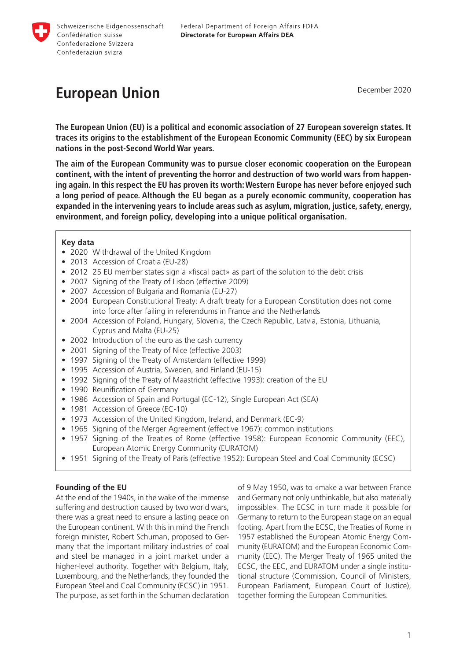

# **European Union**

December 2020

**The European Union (EU) is a political and economic association of 27 European sovereign states. It traces its origins to the establishment of the European Economic Community (EEC) by six European nations in the post-Second World War years.** 

**The aim of the European Community was to pursue closer economic cooperation on the European continent, with the intent of preventing the horror and destruction of two world wars from happening again. In this respect the EU has proven its worth: Western Europe has never before enjoyed such a long period of peace. Although the EU began as a purely economic community, cooperation has expanded in the intervening years to include areas such as asylum, migration, justice, safety, energy, environment, and foreign policy, developing into a unique political organisation.**

# **Key data**

- 2020 Withdrawal of the United Kingdom
- 2013 Accession of Croatia (EU-28)
- 2012 25 EU member states sign a «fiscal pact» as part of the solution to the debt crisis
- 2007 Signing of the Treaty of Lisbon (effective 2009)
- 2007 Accession of Bulgaria and Romania (EU-27)
- 2004 European Constitutional Treaty: A draft treaty for a European Constitution does not come into force after failing in referendums in France and the Netherlands
- 2004 Accession of Poland, Hungary, Slovenia, the Czech Republic, Latvia, Estonia, Lithuania, Cyprus and Malta (EU-25)
- 2002 Introduction of the euro as the cash currency
- 2001 Signing of the Treaty of Nice (effective 2003)
- 1997 Signing of the Treaty of Amsterdam (effective 1999)
- 1995 Accession of Austria, Sweden, and Finland (EU-15)
- 1992 Signing of the Treaty of Maastricht (effective 1993): creation of the EU
- 1990 Reunification of Germany
- 1986 Accession of Spain and Portugal (EC-12), Single European Act (SEA)
- 1981 Accession of Greece (EC-10)
- 1973 Accession of the United Kingdom, Ireland, and Denmark (EC-9)
- 1965 Signing of the Merger Agreement (effective 1967): common institutions
- 1957 Signing of the Treaties of Rome (effective 1958): European Economic Community (EEC), European Atomic Energy Community (EURATOM)
- 1951 Signing of the Treaty of Paris (effective 1952): European Steel and Coal Community (ECSC)

# **Founding of the EU**

At the end of the 1940s, in the wake of the immense suffering and destruction caused by two world wars, there was a great need to ensure a lasting peace on the European continent. With this in mind the French foreign minister, Robert Schuman, proposed to Germany that the important military industries of coal and steel be managed in a joint market under a higher-level authority. Together with Belgium, Italy, Luxembourg, and the Netherlands, they founded the European Steel and Coal Community (ECSC) in 1951. The purpose, as set forth in the Schuman declaration

of 9 May 1950, was to «make a war between France and Germany not only unthinkable, but also materially impossible». The ECSC in turn made it possible for Germany to return to the European stage on an equal footing. Apart from the ECSC, the Treaties of Rome in 1957 established the European Atomic Energy Community (EURATOM) and the European Economic Community (EEC). The Merger Treaty of 1965 united the ECSC, the EEC, and EURATOM under a single institutional structure (Commission, Council of Ministers, European Parliament, European Court of Justice), together forming the European Communities.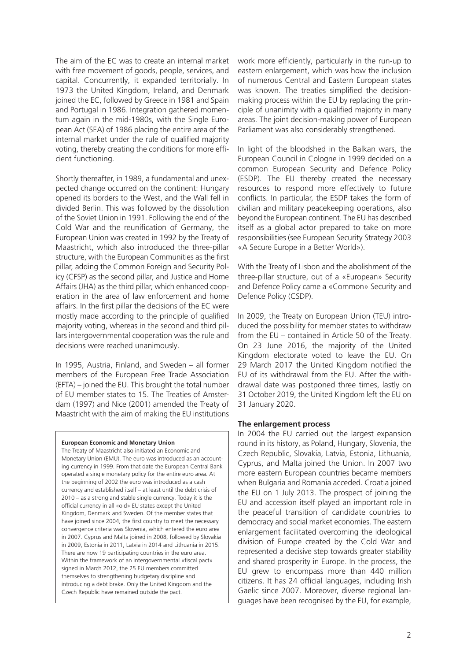The aim of the EC was to create an internal market with free movement of goods, people, services, and capital. Concurrently, it expanded territorially. In 1973 the United Kingdom, Ireland, and Denmark joined the EC, followed by Greece in 1981 and Spain and Portugal in 1986. Integration gathered momentum again in the mid-1980s, with the Single European Act (SEA) of 1986 placing the entire area of the internal market under the rule of qualified majority voting, thereby creating the conditions for more efficient functioning.

Shortly thereafter, in 1989, a fundamental and unexpected change occurred on the continent: Hungary opened its borders to the West, and the Wall fell in divided Berlin. This was followed by the dissolution of the Soviet Union in 1991. Following the end of the Cold War and the reunification of Germany, the European Union was created in 1992 by the Treaty of Maastricht, which also introduced the three-pillar structure, with the European Communities as the first pillar, adding the Common Foreign and Security Policy (CFSP) as the second pillar, and Justice and Home Affairs (JHA) as the third pillar, which enhanced cooperation in the area of law enforcement and home affairs. In the first pillar the decisions of the EC were mostly made according to the principle of qualified majority voting, whereas in the second and third pillars intergovernmental cooperation was the rule and decisions were reached unanimously.

In 1995, Austria, Finland, and Sweden – all former members of the European Free Trade Association (EFTA) – joined the EU. This brought the total number of EU member states to 15. The Treaties of Amsterdam (1997) and Nice (2001) amended the Treaty of Maastricht with the aim of making the EU institutions

#### **European Economic and Monetary Union**

The Treaty of Maastricht also initiated an Economic and Monetary Union (EMU). The euro was introduced as an accounting currency in 1999. From that date the European Central Bank operated a single monetary policy for the entire euro area. At the beginning of 2002 the euro was introduced as a cash currency and established itself – at least until the debt crisis of 2010 – as a strong and stable single currency. Today it is the official currency in all «old» EU states except the United Kingdom, Denmark and Sweden. Of the member states that have joined since 2004, the first country to meet the necessary convergence criteria was Slovenia, which entered the euro area in 2007. Cyprus and Malta joined in 2008, followed by Slovakia in 2009, Estonia in 2011, Latvia in 2014 and Lithuania in 2015. There are now 19 participating countries in the euro area. Within the framework of an intergovernmental «fiscal pact» signed in March 2012, the 25 EU members committed themselves to strengthening budgetary discipline and introducing a debt brake. Only the United Kingdom and the Czech Republic have remained outside the pact.

work more efficiently, particularly in the run-up to eastern enlargement, which was how the inclusion of numerous Central and Eastern European states was known. The treaties simplified the decisionmaking process within the EU by replacing the principle of unanimity with a qualified majority in many areas. The joint decision-making power of European Parliament was also considerably strengthened.

In light of the bloodshed in the Balkan wars, the European Council in Cologne in 1999 decided on a common European Security and Defence Policy (ESDP). The EU thereby created the necessary resources to respond more effectively to future conflicts. In particular, the ESDP takes the form of civilian and military peacekeeping operations, also beyond the European continent. The EU has described itself as a global actor prepared to take on more responsibilities (see European Security Strategy 2003 «A Secure Europe in a Better World»).

With the Treaty of Lisbon and the abolishment of the three-pillar structure, out of a «European» Security and Defence Policy came a «Common» Security and Defence Policy (CSDP).

In 2009, the Treaty on European Union (TEU) introduced the possibility for member states to withdraw from the EU – contained in Article 50 of the Treaty. On 23 June 2016, the majority of the United Kingdom electorate voted to leave the EU. On 29 March 2017 the United Kingdom notified the EU of its withdrawal from the EU. After the withdrawal date was postponed three times, lastly on 31 October 2019, the United Kingdom left the EU on 31 January 2020.

## **The enlargement process**

In 2004 the EU carried out the largest expansion round in its history, as Poland, Hungary, Slovenia, the Czech Republic, Slovakia, Latvia, Estonia, Lithuania, Cyprus, and Malta joined the Union. In 2007 two more eastern European countries became members when Bulgaria and Romania acceded. Croatia joined the EU on 1 July 2013. The prospect of joining the EU and accession itself played an important role in the peaceful transition of candidate countries to democracy and social market economies. The eastern enlargement facilitated overcoming the ideological division of Europe created by the Cold War and represented a decisive step towards greater stability and shared prosperity in Europe. In the process, the EU grew to encompass more than 440 million citizens. It has 24 official languages, including Irish Gaelic since 2007. Moreover, diverse regional languages have been recognised by the EU, for example,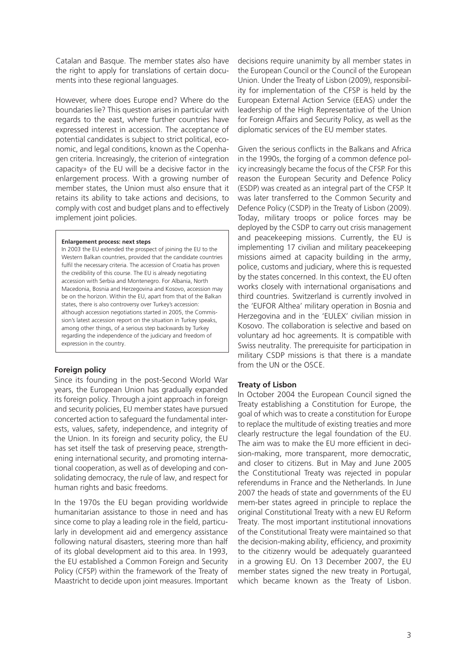Catalan and Basque. The member states also have the right to apply for translations of certain documents into these regional languages.

However, where does Europe end? Where do the boundaries lie? This question arises in particular with regards to the east, where further countries have expressed interest in accession. The acceptance of potential candidates is subject to strict political, economic, and legal conditions, known as the Copenhagen criteria. Increasingly, the criterion of «integration capacity» of the EU will be a decisive factor in the enlargement process. With a growing number of member states, the Union must also ensure that it retains its ability to take actions and decisions, to comply with cost and budget plans and to effectively implement joint policies.

#### **Enlargement process: next steps**

In 2003 the EU extended the prospect of joining the EU to the Western Balkan countries, provided that the candidate countries fulfil the necessary criteria. The accession of Croatia has proven the credibility of this course. The EU is already negotiating accession with Serbia and Montenegro. For Albania, North Macedonia, Bosnia and Herzegovina and Kosovo, accession may be on the horizon. Within the EU, apart from that of the Balkan states, there is also controversy over Turkey's accession: although accession negotiations started in 2005, the Commission's latest accession report on the situation in Turkey speaks, among other things, of a serious step backwards by Turkey regarding the independence of the judiciary and freedom of expression in the country.

## **Foreign policy**

Since its founding in the post-Second World War years, the European Union has gradually expanded its foreign policy. Through a joint approach in foreign and security policies, EU member states have pursued concerted action to safeguard the fundamental interests, values, safety, independence, and integrity of the Union. In its foreign and security policy, the EU has set itself the task of preserving peace, strengthening international security, and promoting international cooperation, as well as of developing and consolidating democracy, the rule of law, and respect for human rights and basic freedoms.

In the 1970s the EU began providing worldwide humanitarian assistance to those in need and has since come to play a leading role in the field, particularly in development aid and emergency assistance following natural disasters, steering more than half of its global development aid to this area. In 1993, the EU established a Common Foreign and Security Policy (CFSP) within the framework of the Treaty of Maastricht to decide upon joint measures. Important

decisions require unanimity by all member states in the European Council or the Council of the European Union. Under the Treaty of Lisbon (2009), responsibility for implementation of the CFSP is held by the European External Action Service (EEAS) under the leadership of the High Representative of the Union for Foreign Affairs and Security Policy, as well as the diplomatic services of the EU member states.

Given the serious conflicts in the Balkans and Africa in the 1990s, the forging of a common defence policy increasingly became the focus of the CFSP. For this reason the European Security and Defence Policy (ESDP) was created as an integral part of the CFSP. It was later transferred to the Common Security and Defence Policy (CSDP) in the Treaty of Lisbon (2009). Today, military troops or police forces may be deployed by the CSDP to carry out crisis management and peacekeeping missions. Currently, the EU is implementing 17 civilian and military peacekeeping missions aimed at capacity building in the army, police, customs and judiciary, where this is requested by the states concerned. In this context, the EU often works closely with international organisations and third countries. Switzerland is currently involved in the 'EUFOR Althea' military operation in Bosnia and Herzegovina and in the 'EULEX' civilian mission in Kosovo. The collaboration is selective and based on voluntary ad hoc agreements. It is compatible with Swiss neutrality. The prerequisite for participation in military CSDP missions is that there is a mandate from the UN or the OSCE.

## **Treaty of Lisbon**

In October 2004 the European Council signed the Treaty establishing a Constitution for Europe, the goal of which was to create a constitution for Europe to replace the multitude of existing treaties and more clearly restructure the legal foundation of the EU. The aim was to make the EU more efficient in decision-making, more transparent, more democratic, and closer to citizens. But in May and June 2005 the Constitutional Treaty was rejected in popular referendums in France and the Netherlands. In June 2007 the heads of state and governments of the EU mem-ber states agreed in principle to replace the original Constitutional Treaty with a new EU Reform Treaty. The most important institutional innovations of the Constitutional Treaty were maintained so that the decision-making ability, efficiency, and proximity to the citizenry would be adequately guaranteed in a growing EU. On 13 December 2007, the EU member states signed the new treaty in Portugal, which became known as the Treaty of Lisbon.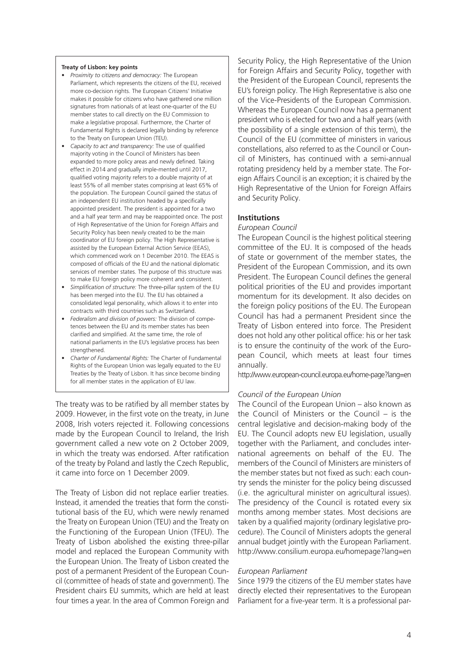#### **Treaty of Lisbon: key points**

- *Proximity to citizens and democracy:* The European Parliament, which represents the citizens of the EU, received more co-decision rights. The European Citizens' Initiative makes it possible for citizens who have gathered one million signatures from nationals of at least one-quarter of the EU member states to call directly on the EU Commission to make a legislative proposal. Furthermore, the Charter of Fundamental Rights is declared legally binding by reference to the Treaty on European Union (TEU).
- *Capacity to act and transparency:* The use of qualified majority voting in the Council of Ministers has been expanded to more policy areas and newly defined. Taking effect in 2014 and gradually imple-mented until 2017, qualified voting majority refers to a double majority of at least 55% of all member states comprising at least 65% of the population. The European Council gained the status of an independent EU institution headed by a specifically appointed president. The president is appointed for a two and a half year term and may be reappointed once. The post of High Representative of the Union for Foreign Affairs and Security Policy has been newly created to be the main coordinator of EU foreign policy. The High Representative is assisted by the European External Action Service (EEAS), which commenced work on 1 December 2010. The EEAS is composed of officials of the EU and the national diplomatic services of member states. The purpose of this structure was to make EU foreign policy more coherent and consistent.
- *Simplification of structure:* The three-pillar system of the EU has been merged into the EU. The EU has obtained a consolidated legal personality, which allows it to enter into contracts with third countries such as Switzerland.
- *Federalism and division of powers:* The division of competences between the EU and its member states has been clarified and simplified. At the same time, the role of national parliaments in the EU's legislative process has been strengthened.
- *Charter of Fundamental Rights:* The Charter of Fundamental Rights of the European Union was legally equated to the EU Treaties by the Treaty of Lisbon. It has since become binding for all member states in the application of EU law.

The treaty was to be ratified by all member states by 2009. However, in the first vote on the treaty, in June 2008, Irish voters rejected it. Following concessions made by the European Council to Ireland, the Irish government called a new vote on 2 October 2009, in which the treaty was endorsed. After ratification of the treaty by Poland and lastly the Czech Republic, it came into force on 1 December 2009.

The Treaty of Lisbon did not replace earlier treaties. Instead, it amended the treaties that form the constitutional basis of the EU, which were newly renamed the Treaty on European Union (TEU) and the Treaty on the Functioning of the European Union (TFEU). The Treaty of Lisbon abolished the existing three-pillar model and replaced the European Community with the European Union. The Treaty of Lisbon created the post of a permanent President of the European Council (committee of heads of state and government). The President chairs EU summits, which are held at least four times a year. In the area of Common Foreign and

Security Policy, the High Representative of the Union for Foreign Affairs and Security Policy, together with the President of the European Council, represents the EU's foreign policy. The High Representative is also one of the Vice-Presidents of the European Commission. Whereas the European Council now has a permanent president who is elected for two and a half years (with the possibility of a single extension of this term), the Council of the EU (committee of ministers in various constellations, also referred to as the Council or Council of Ministers, has continued with a semi-annual rotating presidency held by a member state. The Foreign Affairs Council is an exception; it is chaired by the High Representative of the Union for Foreign Affairs and Security Policy.

## **Institutions**

## *European Council*

The European Council is the highest political steering committee of the EU. It is composed of the heads of state or government of the member states, the President of the European Commission, and its own President. The European Council defines the general political priorities of the EU and provides important momentum for its development. It also decides on the foreign policy positions of the EU. The European Council has had a permanent President since the Treaty of Lisbon entered into force. The President does not hold any other political office: his or her task is to ensure the continuity of the work of the European Council, which meets at least four times annually.

http://www.european-council.europa.eu/home-page?lang=en

## *Council of the European Union*

The Council of the European Union – also known as the Council of Ministers or the Council – is the central legislative and decision-making body of the EU. The Council adopts new EU legislation, usually together with the Parliament, and concludes international agreements on behalf of the EU. The members of the Council of Ministers are ministers of the member states but not fixed as such: each country sends the minister for the policy being discussed (i.e. the agricultural minister on agricultural issues). The presidency of the Council is rotated every six months among member states. Most decisions are taken by a qualified majority (ordinary legislative procedure). The Council of Ministers adopts the general annual budget jointly with the European Parliament. http://www.consilium.europa.eu/homepage?lang=en

#### *European Parliament*

Since 1979 the citizens of the EU member states have directly elected their representatives to the European Parliament for a five-year term. It is a professional par